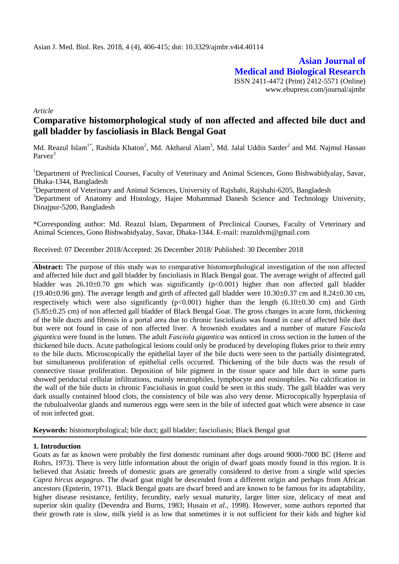**Asian Journal of Medical and Biological Research** ISSN 2411-4472 (Print) 2412-5571 (Online) www.ebupress.com/journal/ajmbr

*Article*

# **Comparative histomorphological study of non affected and affected bile duct and gall bladder by fascioliasis in Black Bengal Goat**

Md. Reazul Islam<sup>1\*</sup>, Rashida Khaton<sup>2</sup>, Md. Aktharul Alam<sup>3</sup>, Md. Jalal Uddin Sarder<sup>2</sup> and Md. Najmul Hassan Parvez<sup>3</sup>

<sup>1</sup>Department of Preclinical Courses, Faculty of Veterinary and Animal Sciences, Gono Bishwabidyalay, Savar, Dhaka-1344, Bangladesh

<sup>2</sup>Department of Veterinary and Animal Sciences, University of Rajshahi, Rajshahi-6205, Bangladesh <sup>3</sup>Department of Anatomy and Histology, Hajee Mohammad Danesh Science and Technology University, Dinajpur-5200, Bangladesh

\*Corresponding author: Md. Reazul Islam, Department of Preclinical Courses, Faculty of Veterinary and Animal Sciences, Gono Bishwabidyalay, Savar, Dhaka-1344. E-mail: reazuldvm@gmail.com

Received: 07 December 2018/Accepted: 26 December 2018/ Published: 30 December 2018

**Abstract:** The purpose of this study was to comparative histomorphological investigation of the non affected and affected bile duct and gall bladder by fascioliasis in Black Bengal goat. The average weight of affected gall bladder was  $26.10\pm0.70$  gm which was significantly ( $p<0.001$ ) higher than non affected gall bladder  $(19.40\pm0.96$  gm). The average length and girth of affected gall bladder were  $10.30\pm0.37$  cm and  $8.24\pm0.30$  cm, respectively which were also significantly  $(p<0.001)$  higher than the length  $(6.10\pm0.30 \text{ cm})$  and Girth (5.85±0.25 cm) of non affected gall bladder of Black Bengal Goat. The gross changes in acute form, thickening of the bile ducts and fibrosis in a portal area due to chronic fascioliasis was found in case of affected bile duct but were not found in case of non affected liver. A brownish exudates and a number of mature *Fasciola gigantica* were found in the lumen. The adult *Fasciola gigantica* was noticed in cross section in the lumen of the thickened bile ducts. Acute pathological lesions could only be produced by developing flukes prior to their entry to the bile ducts. Microscopically the epithelial layer of the bile ducts were seen to the partially disintegrated, but simultaneous proliferation of epithelial cells occurred. Thickening of the bile ducts was the result of connective tissue proliferation. Deposition of bile pigment in the tissue space and bile duct in some parts showed periductal cellular infiltrations, mainly neutrophiles, lymphocyte and eosinophiles. No calcification in the wall of the bile ducts in chronic Fascioliasis in goat could be seen in this study. The gall bladder was very dark usually contained blood clots, the consistency of bile was also very dense. Microcopically hyperplasia of the tubuloalveolar glands and numerous eggs were seen in the bile of infected goat which were absence in case of non infected goat.

**Keywords:** histomorphological; bile duct; gall bladder; fascioliasis; Black Bengal goat

## **1. Introduction**

Goats as far as known were probably the first domestic ruminant after dogs around 9000-7000 BC (Herre and Rohrs, 1973). There is very little information about the origin of dwarf goats mostly found in this region. It is believed that Asiatic breeds of domestic goats are generally considered to derive from a single wild species *Capra hircus aegagrus*. The dwarf goat might be descended from a different origin and perhaps from African ancestors (Epsterin, 1971). Black Bengal goats are dwarf breed and are known to be famous for its adaptability, higher disease resistance, fertility, fecundity, early sexual maturity, larger litter size, delicacy of meat and superior skin quality (Devendra and Burns, 1983; Husain *et al.*, 1998). However, some authors reported that their growth rate is slow, milk yield is as low that sometimes it is not sufficient for their kids and higher kid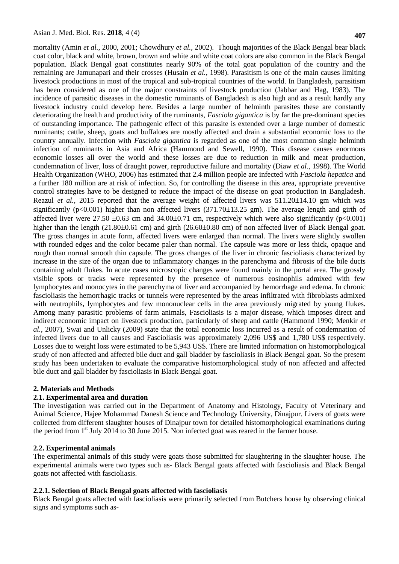mortality (Amin *et al.*, 2000, 2001; Chowdhury *et al.*, 2002). Though majorities of the Black Bengal bear black coat color, black and white, brown, brown and white and white coat colors are also common in the Black Bengal population. Black Bengal goat constitutes nearly 90% of the total goat population of the country and the remaining are Jamunapari and their crosses (Husain *et al.*, 1998). Parasitism is one of the main causes limiting livestock productions in most of the tropical and sub-tropical countries of the world. In Bangladesh, parasitism has been considered as one of the major constraints of livestock production (Jabbar and Hag, 1983). The incidence of parasitic diseases in the domestic ruminants of Bangladesh is also high and as a result hardly any livestock industry could develop here. Besides a large number of helminth parasites these are constantly deteriorating the health and productivity of the ruminants, *Fasciola gigantica* is by far the pre-dominant species of outstanding importance. The pathogenic effect of this parasite is extended over a large number of domestic ruminants; cattle, sheep, goats and buffaloes are mostly affected and drain a substantial economic loss to the country annually. Infection with *Fasciola gigantica* is regarded as one of the most common single helminth infection of ruminants in Asia and Africa (Hammond and Sewell, 1990). This disease causes enormous economic losses all over the world and these losses are due to reduction in milk and meat production, condemnation of liver, loss of draught power, reproductive failure and mortality (Diaw *et al.*, 1998). The World Health Organization (WHO, 2006) has estimated that 2.4 million people are infected with *Fasciola hepatica* and a further 180 million are at risk of infection. So, for controlling the disease in this area, appropriate preventive control strategies have to be designed to reduce the impact of the disease on goat production in Bangladesh. Reazul *et al.*, 2015 reported that the average weight of affected livers was 511.20±14.10 gm which was significantly ( $p<0.001$ ) higher than non affected livers (371.70 $\pm$ 13.25 gm). The average length and girth of affected liver were  $27.50 \pm 0.63$  cm and  $34.00 \pm 0.71$  cm, respectively which were also significantly (p<0.001) higher than the length (21.80 $\pm$ 0.61 cm) and girth (26.60 $\pm$ 0.80 cm) of non affected liver of Black Bengal goat. The gross changes in acute form, affected livers were enlarged than normal. The livers were slightly swollen with rounded edges and the color became paler than normal. The capsule was more or less thick, opaque and rough than normal smooth thin capsule. The gross changes of the liver in chronic fascioliasis characterized by increase in the size of the organ due to inflammatory changes in the parenchyma and fibrosis of the bile ducts containing adult flukes. In acute cases microscopic changes were found mainly in the portal area. The grossly visible spots or tracks were represented by the presence of numerous eosinophils admixed with few lymphocytes and monocytes in the parenchyma of liver and accompanied by hemorrhage and edema. In chronic fascioliasis the hemorrhagic tracks or tunnels were represented by the areas infiltrated with fibroblasts admixed with neutrophils, lymphocytes and few mononuclear cells in the area previously migrated by young flukes. Among many parasitic problems of farm animals, Fascioliasis is a major disease, which imposes direct and indirect economic impact on livestock production, particularly of sheep and cattle (Hammond 1990; Menkir *et al.*, 2007), Swai and Unlicky (2009) state that the total economic loss incurred as a result of condemnation of infected livers due to all causes and Fascioliasis was approximately 2,096 US\$ and 1,780 US\$ respectively. Losses due to weight loss were estimated to be 5,943 US\$. There are limited information on histomorphological study of non affected and affected bile duct and gall bladder by fascioliasis in Black Bengal goat. So the present study has been undertaken to evaluate the comparative histomorphological study of non affected and affected bile duct and gall bladder by fascioliasis in Black Bengal goat.

## **2. Materials and Methods**

## **2.1. Experimental area and duration**

The investigation was carried out in the Department of Anatomy and Histology, Faculty of Veterinary and Animal Science, Hajee Mohammad Danesh Science and Technology University, Dinajpur. Livers of goats were collected from different slaughter houses of Dinajpur town for detailed histomorphological examinations during the period from 1<sup>st</sup> July 2014 to 30 June 2015. Non infected goat was reared in the farmer house.

## **2.2. Experimental animals**

The experimental animals of this study were goats those submitted for slaughtering in the slaughter house. The experimental animals were two types such as- Black Bengal goats affected with fascioliasis and Black Bengal goats not affected with fascioliasis.

## **2.2.1. Selection of Black Bengal goats affected with fascioliasis**

Black Bengal goats affected with fascioliasis were primarily selected from Butchers house by observing clinical signs and symptoms such as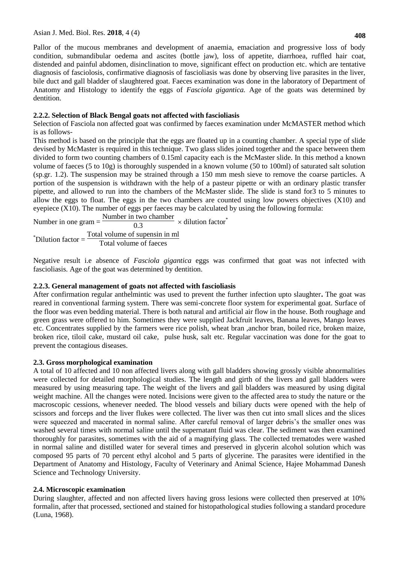Pallor of the mucous membranes and development of anaemia, emaciation and progressive loss of body condition, submandibular oedema and ascites (bottle jaw), loss of appetite, diarrhoea, ruffled hair coat, distended and painful abdomen, disinclination to move, significant effect on production etc. which are tentative diagnosis of fasciolosis, confirmative diagnosis of fascioliasis was done by observing live parasites in the liver, bile duct and gall bladder of slaughtered goat. Faeces examination was done in the laboratory of Department of Anatomy and Histology to identify the eggs of *Fasciola gigantica.* Age of the goats was determined by dentition.

# **2.2.2. Selection of Black Bengal goats not affected with fascioliasis**

Selection of Fasciola non affected goat was confirmed by faeces examination under McMASTER method which is as follows-

This method is based on the principle that the eggs are floated up in a counting chamber. A special type of slide devised by McMaster is required in this technique. Two glass slides joined together and the space between them divided to form two counting chambers of 0.15ml capacity each is the McMaster slide. In this method a known volume of faeces (5 to 10g) is thoroughly suspended in a known volume (50 to 100ml) of saturated salt solution (sp.gr. 1.2). The suspension may be strained through a 150 mm mesh sieve to remove the coarse particles. A portion of the suspension is withdrawn with the help of a pasteur pipette or with an ordinary plastic transfer pipette, and allowed to run into the chambers of the McMaster slide. The slide is stand for3 to 5 minutes to allow the eggs to float. The eggs in the two chambers are counted using low powers objectives  $(X10)$  and eyepiece (X10). The number of eggs per faeces may be calculated by using the following formula:

Number in one gram  $=$   $\frac{\text{Number in two chamber}}{0.3}$   $\times$  dilution factor<sup>\*</sup>  $i^*$ Dilution factor =  $\frac{\text{Total volume of supension in ml}}{\text{Total volume of faces}}$ Total volume of faeces

Negative result i.e absence of *Fasciola gigantica* eggs was confirmed that goat was not infected with fascioliasis. Age of the goat was determined by dentition.

# **2.2.3. General management of goats not affected with fascioliasis**

After confirmation regular anthelmintic was used to prevent the further infection upto slaughter**.** The goat was reared in conventional farming system. There was semi-concrete floor system for experimental goat. Surface of the floor was even bedding material. There is both natural and artificial air flow in the house. Both roughage and green grass were offered to him. Sometimes they were supplied Jackfruit leaves, Banana leaves, Mango leaves etc. Concentrates supplied by the farmers were rice polish, wheat bran ,anchor bran, boiled rice, broken maize, broken rice, tiloil cake, mustard oil cake, pulse husk, salt etc. Regular vaccination was done for the goat to prevent the contagious diseases.

# **2.3. Gross morphological examination**

A total of 10 affected and 10 non affected livers along with gall bladders showing grossly visible abnormalities were collected for detailed morphological studies. The length and girth of the livers and gall bladders were measured by using measuring tape. The weight of the livers and gall bladders was measured by using digital weight machine. All the changes were noted. Incisions were given to the affected area to study the nature or the macroscopic cessions, whenever needed. The blood vessels and biliary ducts were opened with the help of scissors and forceps and the liver flukes were collected. The liver was then cut into small slices and the slices were squeezed and macerated in normal saline. After careful removal of larger debris's the smaller ones was washed several times with normal saline until the supernatant fluid was clear. The sediment was then examined thoroughly for parasites, sometimes with the aid of a magnifying glass. The collected trematodes were washed in normal saline and distilled water for several times and preserved in glycerin alcohol solution which was composed 95 parts of 70 percent ethyl alcohol and 5 parts of glycerine. The parasites were identified in the Department of Anatomy and Histology, Faculty of Veterinary and Animal Science, Hajee Mohammad Danesh Science and Technology University.

# **2.4. Microscopic examination**

During slaughter, affected and non affected livers having gross lesions were collected then preserved at 10% formalin, after that processed, sectioned and stained for histopathological studies following a standard procedure (Luna, 1968).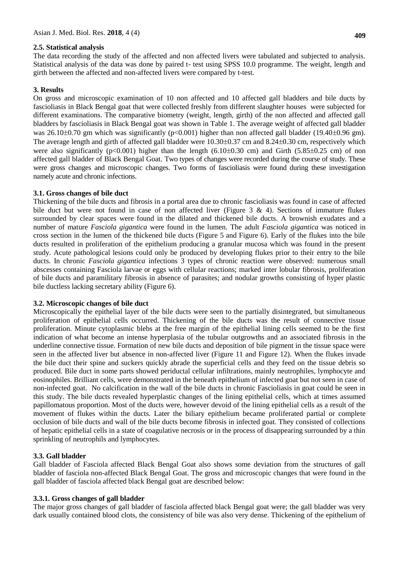#### **2.5. Statistical analysis**

The data recording the study of the affected and non affected livers were tabulated and subjected to analysis. Statistical analysis of the data was done by paired t- test using SPSS 10.0 programme. The weight, length and girth between the affected and non-affected livers were compared by t-test.

## **3. Results**

On gross and microscopic examination of 10 non affected and 10 affected gall bladders and bile ducts by fascioliasis in Black Bengal goat that were collected freshly from different slaughter houses were subjected for different examinations. The comparative biometry (weight, length, girth) of the non affected and affected gall bladders by fascioliasis in Black Bengal goat was shown in Table 1. The average weight of affected gall bladder was  $26.10\pm0.70$  gm which was significantly (p<0.001) higher than non affected gall bladder (19.40 $\pm$ 0.96 gm). The average length and girth of affected gall bladder were  $10.30\pm0.37$  cm and  $8.24\pm0.30$  cm, respectively which were also significantly ( $p<0.001$ ) higher than the length (6.10 $\pm$ 0.30 cm) and Girth (5.85 $\pm$ 0.25 cm) of non affected gall bladder of Black Bengal Goat. Two types of changes were recorded during the course of study. These were gross changes and microscopic changes. Two forms of fascioliasis were found during these investigation namely acute and chronic infections.

## **3.1. Gross changes of bile duct**

Thickening of the bile ducts and fibrosis in a portal area due to chronic fascioliasis was found in case of affected bile duct but were not found in case of non affected liver (Figure  $3 \& 4$ ). Sections of immature flukes surrounded by clear spaces were found in the dilated and thickened bile ducts. A brownish exudates and a number of mature *Fasciola gigantica* were found in the lumen. The adult *Fasciola gigantica* was noticed in cross section in the lumen of the thickened bile ducts (Figure 5 and Figure 6). Early of the flukes into the bile ducts resulted in proliferation of the epithelium producing a granular mucosa which was found in the present study. Acute pathological lesions could only be produced by developing flukes prior to their entry to the bile ducts. In chronic *Fasciola gigantica* infections 3 types of chronic reaction were observed: numerous small abscesses containing Fasciola larvae or eggs with cellular reactions; marked inter lobular fibrosis, proliferation of bile ducts and paramilitary fibrosis in absence of parasites; and nodular growths consisting of hyper plastic bile ductless lacking secretary ability (Figure 6).

## **3.2. Microscopic changes of bile duct**

Microscopically the epithelial layer of the bile ducts were seen to the partially disintegrated, but simultaneous proliferation of epithelial cells occurred. Thickening of the bile ducts was the result of connective tissue proliferation. Minute cytoplasmic blebs at the free margin of the epithelial lining cells seemed to be the first indication of what become an intense hyperplasia of the tubular outgrowths and an associated fibrosis in the underline connective tissue. Formation of new bile ducts and deposition of bile pigment in the tissue space were seen in the affected liver but absence in non-affected liver (Figure 11 and Figure 12). When the flukes invade the bile duct their spine and suckers quickly abrade the superficial cells and they feed on the tissue debris so produced. Bile duct in some parts showed periductal cellular infiltrations, mainly neutrophiles, lymphocyte and eosinophiles. Brilliant cells, were demonstrated in the beneath epithelium of infected goat but not seen in case of non-infected goat. No calcification in the wall of the bile ducts in chronic Fascioliasis in goat could be seen in this study. The bile ducts revealed hyperplastic changes of the lining epithelial cells, which at times assumed papillomatous proportion. Most of the ducts were, however devoid of the lining epithelial cells as a result of the movement of flukes within the ducts. Later the biliary epithelium became proliferated partial or complete occlusion of bile ducts and wall of the bile ducts become fibrosis in infected goat. They consisted of collections of hepatic epithelial cells in a state of coagulative necrosis or in the process of disappearing surrounded by a thin sprinkling of neutrophils and lymphocytes.

## **3.3. Gall bladder**

Gall bladder of Fasciola affected Black Bengal Goat also shows some deviation from the structures of gall bladder of fasciola non-affected Black Bengal Goat. The gross and microscopic changes that were found in the gall bladder of fasciola affected black Bengal goat are described below:

#### **3.3.1. Gross changes of gall bladder**

The major gross changes of gall bladder of fasciola affected black Bengal goat were; the gall bladder was very dark usually contained blood clots, the consistency of bile was also very dense. Thickening of the epithelium of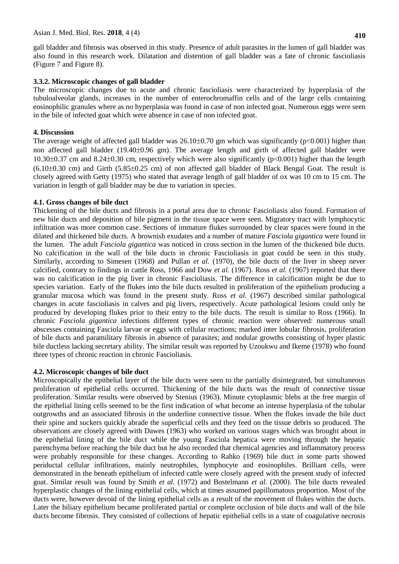gall bladder and fibrosis was observed in this study. Presence of adult parasites in the lumen of gall bladder was also found in this research work. Dilatation and distention of gall bladder was a fate of chronic fascioliasis (Figure 7 and Figure 8).

#### **3.3.2. Microscopic changes of gall bladder**

The microscopic changes due to acute and chronic fascioliasis were characterized by hyperplasia of the tubuloalveolar glands, increases in the number of enterochromaffin cells and of the large cells containing eosinophilic granules where as no hyperplasia was found in case of non infected goat. Numerous eggs were seen in the bile of infected goat which were absence in case of non infected goat.

#### **4. Discussion**

The average weight of affected gall bladder was  $26.10\pm0.70$  gm which was significantly (p<0.001) higher than non affected gall bladder (19.40±0.96 gm). The average length and girth of affected gall bladder were  $10.30\pm0.37$  cm and  $8.24\pm0.30$  cm, respectively which were also significantly (p<0.001) higher than the length  $(6.10\pm0.30 \text{ cm})$  and Girth  $(5.85\pm0.25 \text{ cm})$  of non affected gall bladder of Black Bengal Goat. The result is closely agreed with Getty (1975) who stated that average length of gall bladder of ox was 10 cm to 15 cm. The variation in length of gall bladder may be due to variation in species.

#### **4.1. Gross changes of bile duct**

Thickening of the bile ducts and fibrosis in a portal area due to chronic Fascioliasis also found. Formation of new bile ducts and deposition of bile pigment in the tissue space were seen. Migratory tract with lymphocytic infiltration was more common case. Sections of immature flukes surrounded by clear spaces were found in the dilated and thickened bile ducts. A brownish exudates and a number of mature *Fasciola gigantica* were found in the lumen. The adult *Fasciola gigantica* was noticed in cross section in the lumen of the thickened bile ducts. No calcification in the wall of the bile ducts in chronic Fascioliasis in goat could be seen in this study. Similarly, according to Simesen (1968) and Pullan *et al.* (1970), the bile ducts of the liver in sheep never calcified, contrary to findings in cattle Ross, 1966 and Dow *et al.* (1967). Ross *et al.* (1967) reported that there was no calcification in the pig liver in chronic Fascioliasis. The difference in calcification might be due to species variation. Early of the flukes into the bile ducts resulted in proliferation of the epithelium producing a granular mucosa which was found in the present study. Ross *et al.* (1967) described similar pathological changes in acute fascioliasis in calves and pig livers, respectively. Acute pathological lesions could only be produced by developing flukes prior to their entry to the bile ducts. The result is similar to Ross (1966). In chronic *Fasciola gigantica* infections different types of chronic reaction were observed: numerous small abscesses containing Fasciola larvae or eggs with cellular reactions; marked inter lobular fibrosis, proliferation of bile ducts and paramilitary fibrosis in absence of parasites; and nodular growths consisting of hyper plastic bile ductless lacking secretary ability. The similar result was reported by Uzoukwu and Ikeme (1978) who found three types of chronic reaction in chronic Fascioliasis.

## **4.2. Microscopic changes of bile duct**

Microscopically the epithelial layer of the bile ducts were seen to the partially disintegrated, but simultaneous proliferation of epithelial cells occurred. Thickening of the bile ducts was the result of connective tissue proliferation. Similar results were observed by Stenius (1963). Minute cytoplasmic blebs at the free margin of the epithelial lining cells seemed to be the first indication of what become an intense hyperplasia of the tubular outgrowths and an associated fibrosis in the underline connective tissue. When the flukes invade the bile duct their spine and suckers quickly abrade the superficial cells and they feed on the tissue debris so produced. The observations are closely agreed with Dawes (1963) who worked on various stages which was brought about in the epithelial lining of the bile duct while the young Fasciola hepatica were moving through the hepatic parenchyma before reaching the bile duct but he also recorded that chemical agencies and inflammatory process were probably responsible for these changes. According to Rahko (1969) bile duct in some parts showed periductal cellular infiltrations, mainly neutrophiles, lymphocyte and eosinophiles. Brilliant cells, were demonstrated in the beneath epithelium of infected cattle were closely agreed with the present study of infected goat. Similar result was found by Smith *et al.* (1972) and Bostelmann *et al.* (2000). The bile ducts revealed hyperplastic changes of the lining epithelial cells, which at times assumed papillomatous proportion. Most of the ducts were, however devoid of the lining epithelial cells as a result of the movement of flukes within the ducts. Later the biliary epithelium became proliferated partial or complete occlusion of bile ducts and wall of the bile ducts become fibrosis. They consisted of collections of hepatic epithelial cells in a state of coagulative necrosis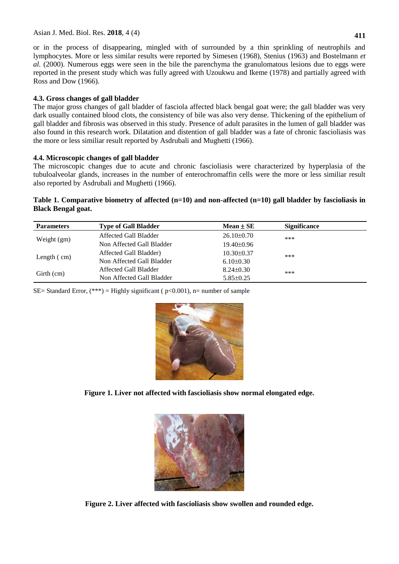or in the process of disappearing, mingled with of surrounded by a thin sprinkling of neutrophils and lymphocytes. More or less similar results were reported by Simesen (1968), Stenius (1963) and Bostelmann *et al.* (2000). Numerous eggs were seen in the bile the parenchyma the granulomatous lesions due to eggs were reported in the present study which was fully agreed with Uzoukwu and Ikeme (1978) and partially agreed with Ross and Dow (1966).

## **4.3. Gross changes of gall bladder**

The major gross changes of gall bladder of fasciola affected black bengal goat were; the gall bladder was very dark usually contained blood clots, the consistency of bile was also very dense. Thickening of the epithelium of gall bladder and fibrosis was observed in this study. Presence of adult parasites in the lumen of gall bladder was also found in this research work. Dilatation and distention of gall bladder was a fate of chronic fascioliasis was the more or less similiar result reported by Asdrubali and Mughetti (1966).

## **4.4. Microscopic changes of gall bladder**

The microscopic changes due to acute and chronic fascioliasis were characterized by hyperplasia of the tubuloalveolar glands, increases in the number of enterochromaffin cells were the more or less similiar result also reported by Asdrubali and Mughetti (1966).

## **Table 1. Comparative biometry of affected (n=10) and non-affected (n=10) gall bladder by fascioliasis in Black Bengal goat.**

| <b>Parameters</b>     | <b>Type of Gall Bladder</b> | $Mean \pm SE$    | <b>Significance</b> |
|-----------------------|-----------------------------|------------------|---------------------|
| Weight $(gm)$         | Affected Gall Bladder       | $26.10\pm0.70$   | ***                 |
|                       | Non Affected Gall Bladder   | $19.40\pm0.96$   |                     |
| Length $\epsilon$ cm) | Affected Gall Bladder)      | $10.30 \pm 0.37$ | ***                 |
|                       | Non Affected Gall Bladder   | $6.10\pm0.30$    |                     |
| Girth (cm)            | Affected Gall Bladder       | $8.24 \pm 0.30$  | ***                 |
|                       | Non Affected Gall Bladder   | $5.85 \pm 0.25$  |                     |

SE= Standard Error,  $(***)$  = Highly significant ( $p<0.001$ ), n= number of sample



**Figure 1. Liver not affected with fascioliasis show normal elongated edge.**



**Figure 2. Liver affected with fascioliasis show swollen and rounded edge.**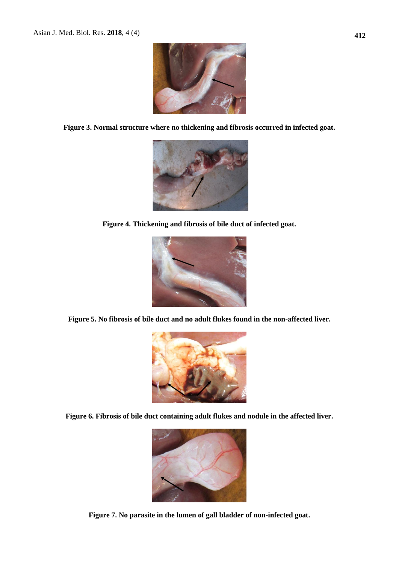

**Figure 3. Normal structure where no thickening and fibrosis occurred in infected goat.**



**Figure 4. Thickening and fibrosis of bile duct of infected goat.**



**Figure 5. No fibrosis of bile duct and no adult flukes found in the non-affected liver.**



**Figure 6. Fibrosis of bile duct containing adult flukes and nodule in the affected liver.**



**Figure 7. No parasite in the lumen of gall bladder of non-infected goat.**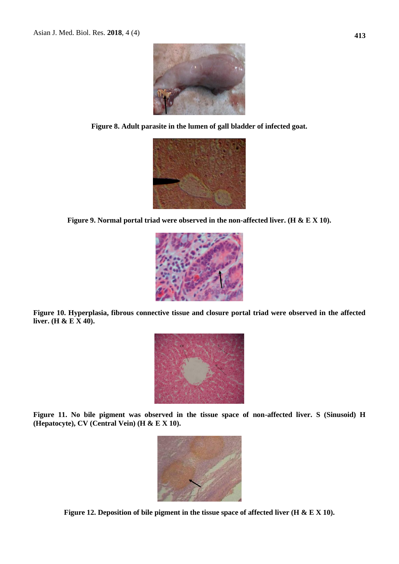

**Figure 8. Adult parasite in the lumen of gall bladder of infected goat.**



**Figure 9. Normal portal triad were observed in the non-affected liver. (H & E X 10).**



**Figure 10. Hyperplasia, fibrous connective tissue and closure portal triad were observed in the affected liver. (H & E X 40).**



**Figure 11. No bile pigment was observed in the tissue space of non-affected liver. S (Sinusoid) H (Hepatocyte), CV (Central Vein) (H & E X 10).**



**Figure 12. Deposition of bile pigment in the tissue space of affected liver (H & E X 10).**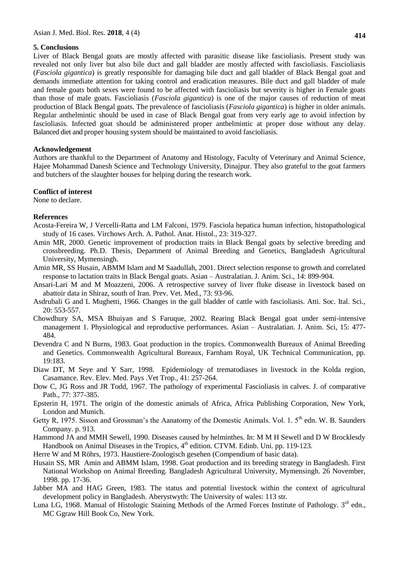#### **5. Conclusions**

Liver of Black Bengal goats are mostly affected with parasitic disease like fascioliasis. Present study was revealed not only liver but also bile duct and gall bladder are mostly affected with fascioliasis. Fascioliasis (*Fasciola gigantica*) is greatly responsible for damaging bile duct and gall bladder of Black Bengal goat and demands immediate attention for taking control and eradication measures. Bile duct and gall bladder of male and female goats both sexes were found to be affected with fascioliasis but severity is higher in Female goats than those of male goats. Fascioliasis (*Fasciola gigantica*) is one of the major causes of reduction of meat production of Black Bengal goats. The prevalence of fascioliasis (*Fasciola gigantica*) is higher in older animals. Regular anthelmintic should be used in case of Black Bengal goat from very early age to avoid infection by fascioliasis. Infected goat should be administered proper anthelmintic at proper dose without any delay. Balanced diet and proper housing system should be maintained to avoid fascioliasis.

#### **Acknowledgement**

Authors are thankful to the Department of Anatomy and Histology, Faculty of Veterinary and Animal Science, Hajee Mohammad Danesh Science and Technology University, Dinajpur. They also grateful to the goat farmers and butchers of the slaughter houses for helping during the research work.

#### **Conflict of interest**

None to declare.

## **References**

- Acosta-Fereira W, J Vercelli-Ratta and LM Falconi, 1979. Fasciola hepatica human infection, histopathological study of 16 cases. Virchows Arch. A. Pathol. Anat. Histol., 23: 319-327.
- Amin MR, 2000. Genetic improvement of production traits in Black Bengal goats by selective breeding and crossbreeding. Ph.D. Thesis, Department of Animal Breeding and Genetics, Bangladesh Agricultural University, Mymensingh.
- Amin MR, SS Husain, ABMM Islam and M Saadullah, 2001. Direct selection response to growth and correlated response to lactation traits in Black Bengal goats. Asian – Australatian. J. Anim. Sci., 14: 899-904.
- Ansari-Lari M and M Moazzeni, 2006. A retrospective survey of liver fluke disease in livestock based on abattoir data in Shiraz, south of Iran. Prev. Vet. Med., 73: 93-96.
- Asdrubali G and L Mughetti, 1966. Changes in the gall bladder of cattle with fascioliasis. Atti. Soc. Ital. Sci., 20: 553-557.
- Chowdhury SA, MSA Bhuiyan and S Faruque, 2002. Rearing Black Bengal goat under semi-intensive management 1. Physiological and reproductive performances. Asian – Australatian. J. Anim. Sci, 15: 477- 484.
- Devendra C and N Burns, 1983. Goat production in the tropics. Commonwealth Bureaux of Animal Breeding and Genetics. Commonwealth Agricultural Bureaux, Farnham Royal, UK Technical Communication, pp. 19:183.
- Diaw DT, M Seye and Y Sarr, 1998. Epidemiology of trematodiases in livestock in the Kolda region, Casamance. Rev. Elev. Med. Pays .Vet Trop., 41: 257-264.
- Dow C, JG Ross and JR Todd, 1967. The pathology of experimental Fascioliasis in calves. J. of comparative Path., 77: 377-385.
- Epsterin H, 1971. The origin of the domestic animals of Africa, Africa Publishing Corporation, New York, London and Munich.
- Getty R, 1975. Sisson and Grossman's the Aanatomy of the Domestic Animals. Vol. 1. 5<sup>th</sup> edn. W. B. Saunders Company. p. 913.
- Hammond JA and MMH Sewell, 1990. Diseases caused by helminthes. In: M M H Sewell and D W Brocklesdy Handbook on Animal Diseases in the Tropics,  $4<sup>th</sup>$  edition. CTVM. Edinb. Uni. pp. 119-123.
- Herre W and M Röhrs, 1973. Haustiere-Zoologisch gesehen (Compendium of basic data).
- Husain SS, MR Amin and ABMM Islam, 1998. Goat production and its breeding strategy in Bangladesh. First National Workshop on Animal Breeding. Bangladesh Agricultural University, Mymensingh. 26 November, 1998. pp. 17-36.
- Jabber MA and HAG Green, 1983. The status and potential livestock within the context of agricultural development policy in Bangladesh. Aberystwyth: The University of wales: 113 str.
- Luna LG, 1968. Manual of Histologic Staining Methods of the Armed Forces Institute of Pathology. 3<sup>rd</sup> edn., MC Ggraw Hill Book Co, New York.